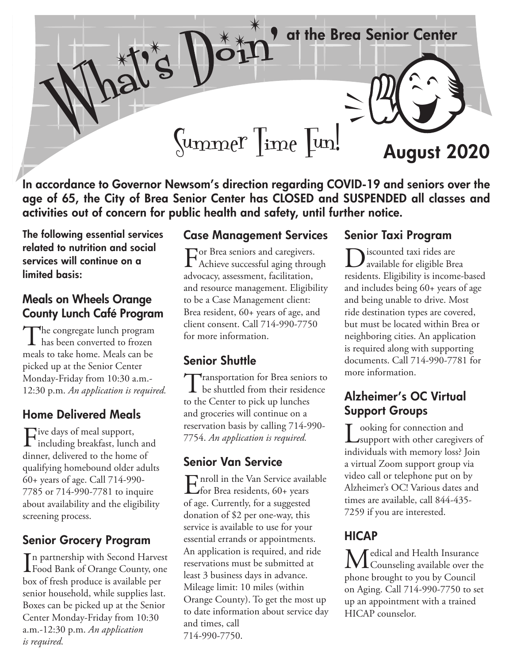at the Brea Senior Center



 $\begin{bmatrix} \text{Mmmer} \\ \text{Im}\end{bmatrix}$   $\begin{bmatrix} \text{Mmmer} \\ \text{Mmmer} \end{bmatrix}$   $\begin{bmatrix} \text{Mmmer} \\ \text{Mmmer} \end{bmatrix}$ 

In accordance to Governor Newsom's direction regarding COVID-19 and seniors over the age of 65, the City of Brea Senior Center has CLOSED and SUSPENDED all classes and activities out of concern for public health and safety, until further notice.

The following essential services related to nutrition and social services will continue on a limited basis:

### Meals on Wheels Orange County Lunch Café Program

The congregate lunch program  $\perp$  has been converted to frozen meals to take home. Meals can be picked up at the Senior Center Monday-Friday from 10:30 a.m.- 12:30 p.m. *An application is required.*

## Home Delivered Meals

Five days of meal support,<br>including breakfast, lunch and dinner, delivered to the home of qualifying homebound older adults 60+ years of age. Call 714-990- 7785 or 714-990-7781 to inquire about availability and the eligibility screening process.

# Senior Grocery Program

In partnership with Second Harvest<br>Food Bank of Orange County, one n partnership with Second Harvest box of fresh produce is available per senior household, while supplies last. Boxes can be picked up at the Senior Center Monday-Friday from 10:30 a.m.-12:30 p.m. *An application is required.* 

#### Case Management Services

For Brea seniors and caregivers. Achieve successful aging through advocacy, assessment, facilitation, and resource management. Eligibility to be a Case Management client: Brea resident, 60+ years of age, and client consent. Call 714-990-7750 for more information.

## Senior Shuttle

**T**ransportation for Brea seniors to **L** be shuttled from their residence to the Center to pick up lunches and groceries will continue on a reservation basis by calling 714-990- 7754. *An application is required.*

## Senior Van Service

Enroll in the Van Service available<br>
for Brea residents, 60+ years of age. Currently, for a suggested donation of \$2 per one-way, this service is available to use for your essential errands or appointments. An application is required, and ride reservations must be submitted at least 3 business days in advance. Mileage limit: 10 miles (within Orange County). To get the most up to date information about service day and times, call 714-990-7750.

#### Senior Taxi Program

Discounted taxi rides are available for eligible Brea residents. Eligibility is income-based and includes being 60+ years of age and being unable to drive. Most ride destination types are covered, but must be located within Brea or neighboring cities. An application is required along with supporting documents. Call 714-990-7781 for more information.

## Alzheimer's OC Virtual Support Groups

 $\sum_{\text{support with other categories of}}$ individuals with memory loss? Join a virtual Zoom support group via video call or telephone put on by Alzheimer's OC! Various dates and times are available, call 844-435- 7259 if you are interested.

# **HICAP**

Medical and Health Insurance **L** Counseling available over the phone brought to you by Council on Aging. Call 714-990-7750 to set up an appointment with a trained HICAP counselor.